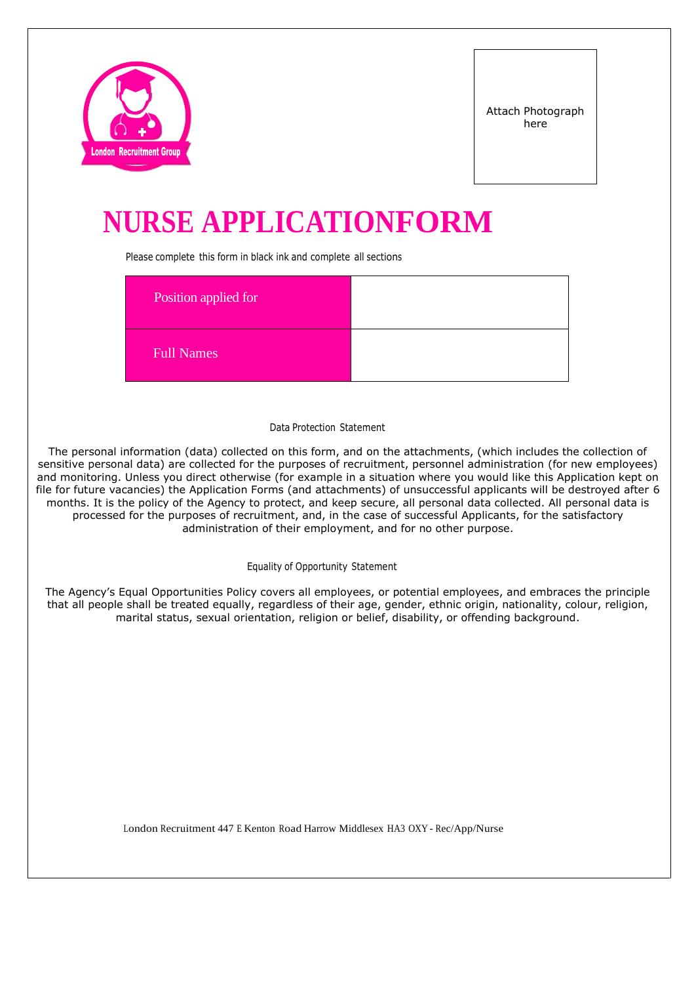

# **NURSE APPLICATIONFORM**

Please complete this form in black ink and complete all sections

| Position applied for |  |
|----------------------|--|
| Full Names           |  |

### Data Protection Statement

The personal information (data) collected on this form, and on the attachments, (which includes the collection of sensitive personal data) are collected for the purposes of recruitment, personnel administration (for new employees) and monitoring. Unless you direct otherwise (for example in a situation where you would like this Application kept on file for future vacancies) the Application Forms (and attachments) of unsuccessful applicants will be destroyed after 6 months. It is the policy of the Agency to protect, and keep secure, all personal data collected. All personal data is processed for the purposes of recruitment, and, in the case of successful Applicants, for the satisfactory administration of their employment, and for no other purpose.

Equality of Opportunity Statement

The Agency's Equal Opportunities Policy covers all employees, or potential employees, and embraces the principle that all people shall be treated equally, regardless of their age, gender, ethnic origin, nationality, colour, religion, marital status, sexual orientation, religion or belief, disability, or offending background.

London Recruitment 447 <sup>E</sup> Kenton Road Harrow Middlesex HA3 OXY - Rec/App/Nurse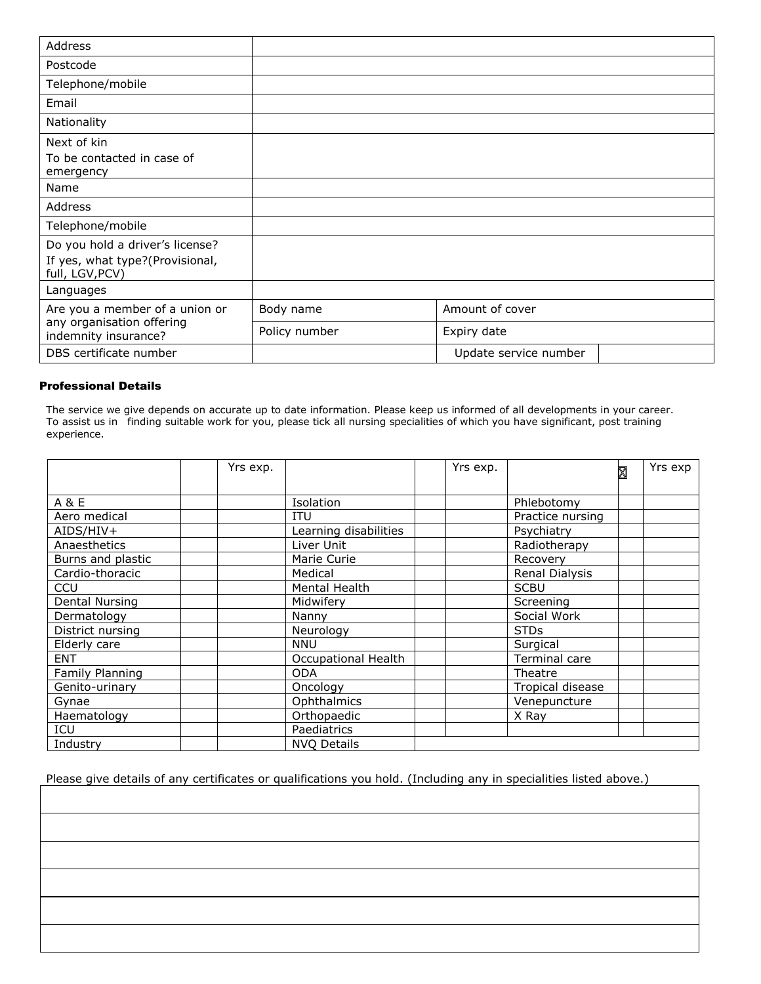| Address                                                                               |               |                       |
|---------------------------------------------------------------------------------------|---------------|-----------------------|
| Postcode                                                                              |               |                       |
| Telephone/mobile                                                                      |               |                       |
| Email                                                                                 |               |                       |
| Nationality                                                                           |               |                       |
| Next of kin<br>To be contacted in case of<br>emergency                                |               |                       |
| Name                                                                                  |               |                       |
| Address                                                                               |               |                       |
| Telephone/mobile                                                                      |               |                       |
| Do you hold a driver's license?<br>If yes, what type?(Provisional,<br>full, LGV, PCV) |               |                       |
| Languages                                                                             |               |                       |
| Are you a member of a union or                                                        | Body name     | Amount of cover       |
| any organisation offering<br>indemnity insurance?                                     | Policy number | Expiry date           |
| DBS certificate number                                                                |               | Update service number |

## Professional Details

The service we give depends on accurate up to date information. Please keep us informed of all developments in your career. To assist us in finding suitable work for you, please tick all nursing specialities of which you have significant, post training experience.

|                   | Yrs exp. |                       | Yrs exp. |                  | ⊠ | Yrs exp |
|-------------------|----------|-----------------------|----------|------------------|---|---------|
| A & E             |          | Isolation             |          | Phlebotomy       |   |         |
| Aero medical      |          | <b>ITU</b>            |          | Practice nursing |   |         |
| $AIDS/HIV+$       |          | Learning disabilities |          | Psychiatry       |   |         |
| Anaesthetics      |          | Liver Unit            |          | Radiotherapy     |   |         |
| Burns and plastic |          | Marie Curie           |          | Recovery         |   |         |
| Cardio-thoracic   |          | Medical               |          | Renal Dialysis   |   |         |
| <b>CCU</b>        |          | Mental Health         |          | <b>SCBU</b>      |   |         |
| Dental Nursing    |          | Midwiferv             |          | Screening        |   |         |
| Dermatology       |          | Nanny                 |          | Social Work      |   |         |
| District nursing  |          | Neurology             |          | <b>STDs</b>      |   |         |
| Elderly care      |          | <b>NNU</b>            |          | Surgical         |   |         |
| <b>ENT</b>        |          | Occupational Health   |          | Terminal care    |   |         |
| Family Planning   |          | <b>ODA</b>            |          | Theatre          |   |         |
| Genito-urinary    |          | Oncology              |          | Tropical disease |   |         |
| Gynae             |          | Ophthalmics           |          | Venepuncture     |   |         |
| Haematology       |          | Orthopaedic           |          | X Ray            |   |         |
| ICU               |          | Paediatrics           |          |                  |   |         |
| Industry          |          | <b>NVQ Details</b>    |          |                  |   |         |

Please give details of any certificates or qualifications you hold. (Including any in specialities listed above.)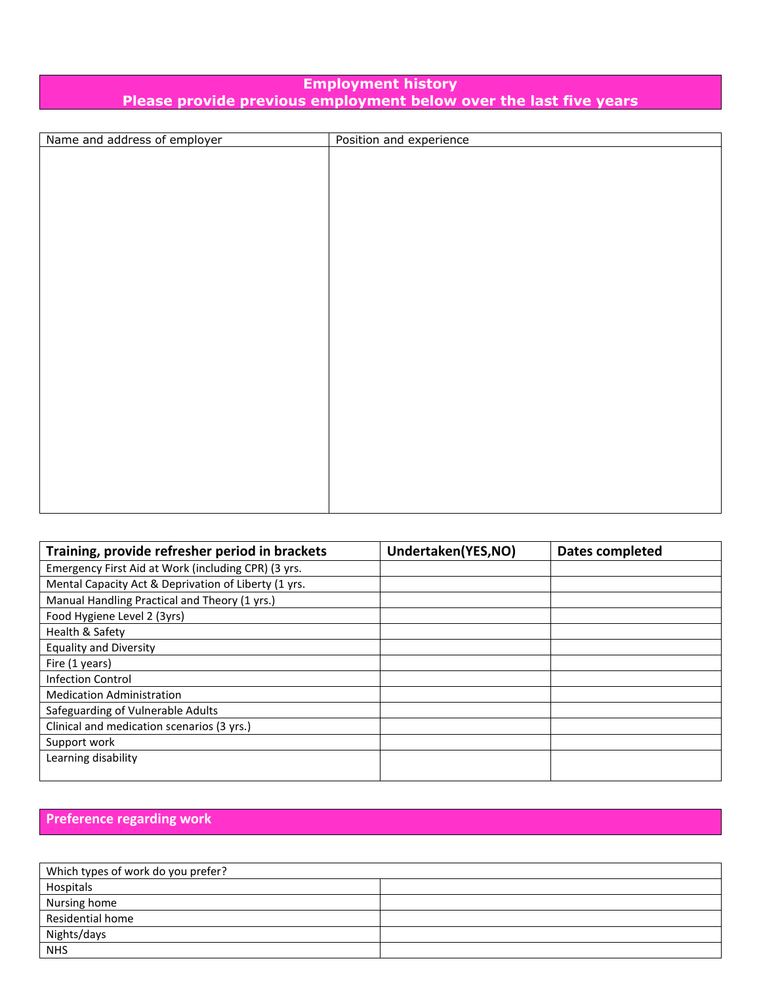## **Employment history Please provide previous employment below over the last five years**

| Name and address of employer | Position and experience |
|------------------------------|-------------------------|
|                              |                         |
|                              |                         |
|                              |                         |
|                              |                         |
|                              |                         |
|                              |                         |
|                              |                         |
|                              |                         |
|                              |                         |
|                              |                         |
|                              |                         |
|                              |                         |
|                              |                         |
|                              |                         |
|                              |                         |
|                              |                         |
|                              |                         |
|                              |                         |
|                              |                         |
|                              |                         |
|                              |                         |
|                              |                         |
|                              |                         |
|                              |                         |

| Training, provide refresher period in brackets       | Undertaken(YES,NO) | Dates completed |
|------------------------------------------------------|--------------------|-----------------|
| Emergency First Aid at Work (including CPR) (3 yrs.  |                    |                 |
| Mental Capacity Act & Deprivation of Liberty (1 yrs. |                    |                 |
| Manual Handling Practical and Theory (1 yrs.)        |                    |                 |
| Food Hygiene Level 2 (3yrs)                          |                    |                 |
| Health & Safety                                      |                    |                 |
| <b>Equality and Diversity</b>                        |                    |                 |
| Fire (1 years)                                       |                    |                 |
| <b>Infection Control</b>                             |                    |                 |
| <b>Medication Administration</b>                     |                    |                 |
| Safeguarding of Vulnerable Adults                    |                    |                 |
| Clinical and medication scenarios (3 yrs.)           |                    |                 |
| Support work                                         |                    |                 |
| Learning disability                                  |                    |                 |
|                                                      |                    |                 |

# **Preference regarding work**

| Which types of work do you prefer? |  |
|------------------------------------|--|
| Hospitals                          |  |
| Nursing home                       |  |
| Residential home                   |  |
| Nights/days                        |  |
| <b>NHS</b>                         |  |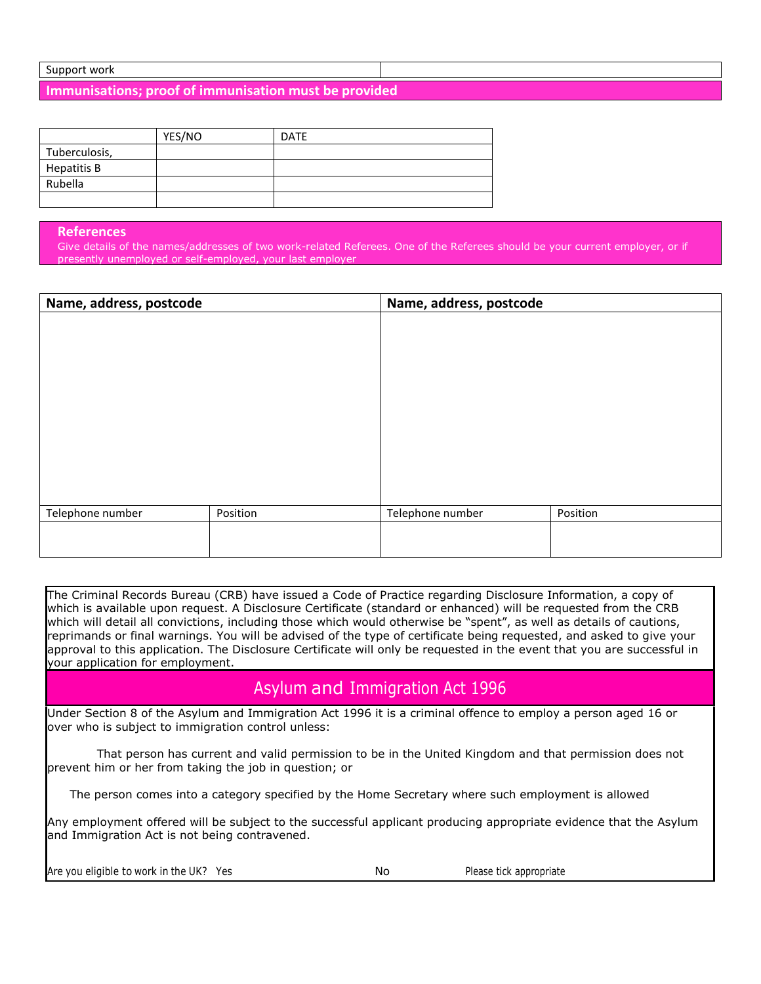### Support work

**Immunisations; proof of immunisation must be provided**

|               | YES/NO | <b>DATE</b> |
|---------------|--------|-------------|
| Tuberculosis, |        |             |
| Hepatitis B   |        |             |
| Rubella       |        |             |
|               |        |             |

#### **References**

Give details of the names/addresses of two work-related Referees. One of the Referees should be your current employer, or if presently unemployed or self-employed, your last employer

| Name, address, postcode | Name, address, postcode |                  |          |
|-------------------------|-------------------------|------------------|----------|
|                         |                         |                  |          |
|                         |                         |                  |          |
|                         |                         |                  |          |
|                         |                         |                  |          |
|                         |                         |                  |          |
|                         |                         |                  |          |
|                         |                         |                  |          |
|                         |                         |                  |          |
|                         |                         |                  |          |
| Telephone number        | Position                | Telephone number | Position |
|                         |                         |                  |          |
|                         |                         |                  |          |

The Criminal Records Bureau (CRB) have issued a Code of Practice regarding Disclosure Information, a copy of which is available upon request. A Disclosure Certificate (standard or enhanced) will be requested from the CRB which will detail all convictions, including those which would otherwise be "spent", as well as details of cautions, reprimands or final warnings. You will be advised of the type of certificate being requested, and asked to give your approval to this application. The Disclosure Certificate will only be requested in the event that you are successful in your application for employment.

# Asylum and Immigration Act 1996

Under Section 8 of the Asylum and Immigration Act 1996 it is a criminal offence to employ a person aged 16 or over who is subject to immigration control unless:

That person has current and valid permission to be in the United Kingdom and that permission does not prevent him or her from taking the job in question; or

The person comes into a category specified by the Home Secretary where such employment is allowed

Any employment offered will be subject to the successful applicant producing appropriate evidence that the Asylum and Immigration Act is not being contravened.

Are you eligible to work in the UK? Yes No Please tick appropriate